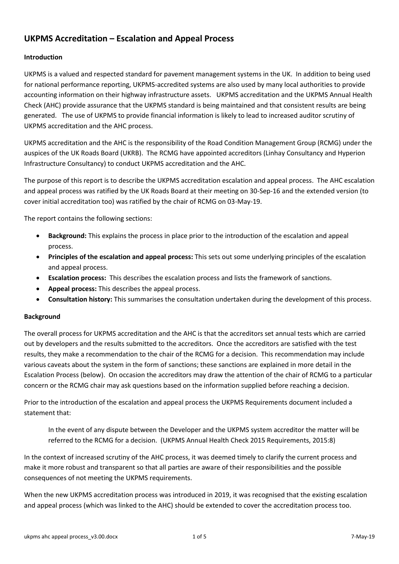# **UKPMS Accreditation – Escalation and Appeal Process**

# **Introduction**

UKPMS is a valued and respected standard for pavement management systems in the UK. In addition to being used for national performance reporting, UKPMS-accredited systems are also used by many local authorities to provide accounting information on their highway infrastructure assets. UKPMS accreditation and the UKPMS Annual Health Check (AHC) provide assurance that the UKPMS standard is being maintained and that consistent results are being generated. The use of UKPMS to provide financial information is likely to lead to increased auditor scrutiny of UKPMS accreditation and the AHC process.

UKPMS accreditation and the AHC is the responsibility of the Road Condition Management Group (RCMG) under the auspices of the UK Roads Board (UKRB). The RCMG have appointed accreditors (Linhay Consultancy and Hyperion Infrastructure Consultancy) to conduct UKPMS accreditation and the AHC.

The purpose of this report is to describe the UKPMS accreditation escalation and appeal process. The AHC escalation and appeal process was ratified by the UK Roads Board at their meeting on 30-Sep-16 and the extended version (to cover initial accreditation too) was ratified by the chair of RCMG on 03-May-19.

The report contains the following sections:

- **Background:** This explains the process in place prior to the introduction of the escalation and appeal process.
- **Principles of the escalation and appeal process:** This sets out some underlying principles of the escalation and appeal process.
- **Escalation process:** This describes the escalation process and lists the framework of sanctions.
- **Appeal process:** This describes the appeal process.
- **Consultation history:** This summarises the consultation undertaken during the development of this process.

# **Background**

The overall process for UKPMS accreditation and the AHC is that the accreditors set annual tests which are carried out by developers and the results submitted to the accreditors. Once the accreditors are satisfied with the test results, they make a recommendation to the chair of the RCMG for a decision. This recommendation may include various caveats about the system in the form of sanctions; these sanctions are explained in more detail in the Escalation Process (below). On occasion the accreditors may draw the attention of the chair of RCMG to a particular concern or the RCMG chair may ask questions based on the information supplied before reaching a decision.

Prior to the introduction of the escalation and appeal process the UKPMS Requirements document included a statement that:

In the event of any dispute between the Developer and the UKPMS system accreditor the matter will be referred to the RCMG for a decision. (UKPMS Annual Health Check 2015 Requirements, 2015:8)

In the context of increased scrutiny of the AHC process, it was deemed timely to clarify the current process and make it more robust and transparent so that all parties are aware of their responsibilities and the possible consequences of not meeting the UKPMS requirements.

When the new UKPMS accreditation process was introduced in 2019, it was recognised that the existing escalation and appeal process (which was linked to the AHC) should be extended to cover the accreditation process too.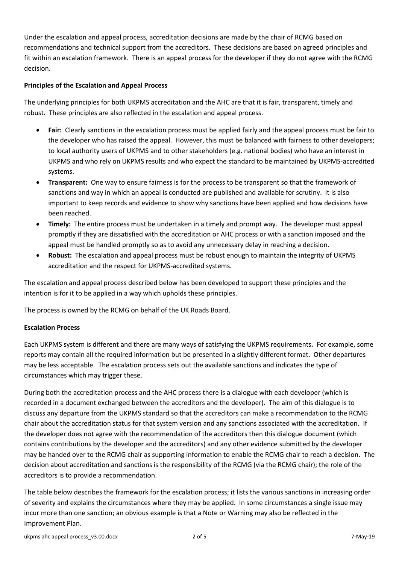Under the escalation and appeal process, accreditation decisions are made by the chair of RCMG based on recommendations and technical support from the accreditors. These decisions are based on agreed principles and fit within an escalation framework. There is an appeal process for the developer if they do not agree with the RCMG decision.

### **Principles of the Escalation and Appeal Process**

The underlying principles for both UKPMS accreditation and the AHC are that it is fair, transparent, timely and robust. These principles are also reflected in the escalation and appeal process.

- **Fair:** Clearly sanctions in the escalation process must be applied fairly and the appeal process must be fair to the developer who has raised the appeal. However, this must be balanced with fairness to other developers; to local authority users of UKPMS and to other stakeholders (e.g. national bodies) who have an interest in UKPMS and who rely on UKPMS results and who expect the standard to be maintained by UKPMS-accredited systems.
- **Transparent:** One way to ensure fairness is for the process to be transparent so that the framework of sanctions and way in which an appeal is conducted are published and available for scrutiny. It is also important to keep records and evidence to show why sanctions have been applied and how decisions have been reached.
- **Timely:** The entire process must be undertaken in a timely and prompt way. The developer must appeal promptly if they are dissatisfied with the accreditation or AHC process or with a sanction imposed and the appeal must be handled promptly so as to avoid any unnecessary delay in reaching a decision.
- **Robust:** The escalation and appeal process must be robust enough to maintain the integrity of UKPMS accreditation and the respect for UKPMS-accredited systems.

The escalation and appeal process described below has been developed to support these principles and the intention is for it to be applied in a way which upholds these principles.

The process is owned by the RCMG on behalf of the UK Roads Board.

#### **Escalation Process**

Each UKPMS system is different and there are many ways of satisfying the UKPMS requirements. For example, some reports may contain all the required information but be presented in a slightly different format. Other departures may be less acceptable. The escalation process sets out the available sanctions and indicates the type of circumstances which may trigger these.

During both the accreditation process and the AHC process there is a dialogue with each developer (which is recorded in a document exchanged between the accreditors and the developer). The aim of this dialogue is to discuss any departure from the UKPMS standard so that the accreditors can make a recommendation to the RCMG chair about the accreditation status for that system version and any sanctions associated with the accreditation. If the developer does not agree with the recommendation of the accreditors then this dialogue document (which contains contributions by the developer and the accreditors) and any other evidence submitted by the developer may be handed over to the RCMG chair as supporting information to enable the RCMG chair to reach a decision. The decision about accreditation and sanctions is the responsibility of the RCMG (via the RCMG chair); the role of the accreditors is to provide a recommendation.

The table below describes the framework for the escalation process; it lists the various sanctions in increasing order of severity and explains the circumstances where they may be applied. In some circumstances a single issue may incur more than one sanction; an obvious example is that a Note or Warning may also be reflected in the Improvement Plan.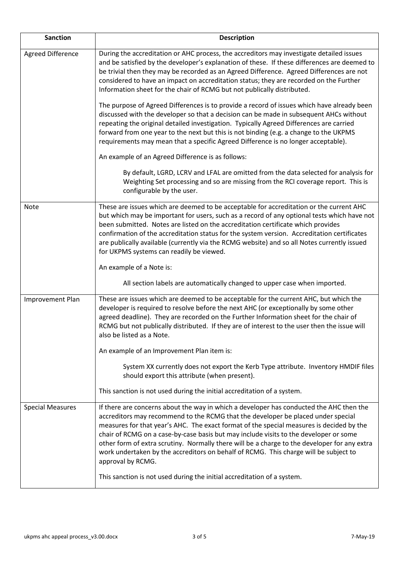| <b>Sanction</b>          | <b>Description</b>                                                                                                                                                                                                                                                                                                                                                                                                                                                                                                                                                            |
|--------------------------|-------------------------------------------------------------------------------------------------------------------------------------------------------------------------------------------------------------------------------------------------------------------------------------------------------------------------------------------------------------------------------------------------------------------------------------------------------------------------------------------------------------------------------------------------------------------------------|
| <b>Agreed Difference</b> | During the accreditation or AHC process, the accreditors may investigate detailed issues<br>and be satisfied by the developer's explanation of these. If these differences are deemed to<br>be trivial then they may be recorded as an Agreed Difference. Agreed Differences are not<br>considered to have an impact on accreditation status; they are recorded on the Further<br>Information sheet for the chair of RCMG but not publically distributed.                                                                                                                     |
|                          | The purpose of Agreed Differences is to provide a record of issues which have already been<br>discussed with the developer so that a decision can be made in subsequent AHCs without<br>repeating the original detailed investigation. Typically Agreed Differences are carried<br>forward from one year to the next but this is not binding (e.g. a change to the UKPMS<br>requirements may mean that a specific Agreed Difference is no longer acceptable).                                                                                                                 |
|                          | An example of an Agreed Difference is as follows:                                                                                                                                                                                                                                                                                                                                                                                                                                                                                                                             |
|                          | By default, LGRD, LCRV and LFAL are omitted from the data selected for analysis for<br>Weighting Set processing and so are missing from the RCI coverage report. This is<br>configurable by the user.                                                                                                                                                                                                                                                                                                                                                                         |
| Note                     | These are issues which are deemed to be acceptable for accreditation or the current AHC<br>but which may be important for users, such as a record of any optional tests which have not<br>been submitted. Notes are listed on the accreditation certificate which provides<br>confirmation of the accreditation status for the system version. Accreditation certificates<br>are publically available (currently via the RCMG website) and so all Notes currently issued<br>for UKPMS systems can readily be viewed.                                                          |
|                          | An example of a Note is:                                                                                                                                                                                                                                                                                                                                                                                                                                                                                                                                                      |
|                          | All section labels are automatically changed to upper case when imported.                                                                                                                                                                                                                                                                                                                                                                                                                                                                                                     |
| Improvement Plan         | These are issues which are deemed to be acceptable for the current AHC, but which the<br>developer is required to resolve before the next AHC (or exceptionally by some other<br>agreed deadline). They are recorded on the Further Information sheet for the chair of<br>RCMG but not publically distributed. If they are of interest to the user then the issue will<br>also be listed as a Note.                                                                                                                                                                           |
|                          | An example of an Improvement Plan item is:                                                                                                                                                                                                                                                                                                                                                                                                                                                                                                                                    |
|                          | System XX currently does not export the Kerb Type attribute. Inventory HMDIF files<br>should export this attribute (when present).                                                                                                                                                                                                                                                                                                                                                                                                                                            |
|                          | This sanction is not used during the initial accreditation of a system.                                                                                                                                                                                                                                                                                                                                                                                                                                                                                                       |
| <b>Special Measures</b>  | If there are concerns about the way in which a developer has conducted the AHC then the<br>accreditors may recommend to the RCMG that the developer be placed under special<br>measures for that year's AHC. The exact format of the special measures is decided by the<br>chair of RCMG on a case-by-case basis but may include visits to the developer or some<br>other form of extra scrutiny. Normally there will be a charge to the developer for any extra<br>work undertaken by the accreditors on behalf of RCMG. This charge will be subject to<br>approval by RCMG. |
|                          | This sanction is not used during the initial accreditation of a system.                                                                                                                                                                                                                                                                                                                                                                                                                                                                                                       |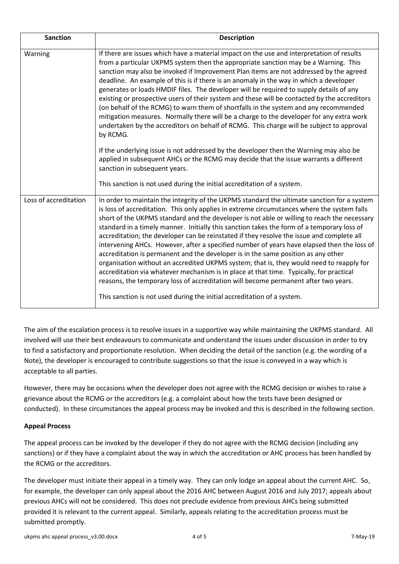| <b>Sanction</b>       | <b>Description</b>                                                                                                                                                                                                                                                                                                                                                                                                                                                                                                                                                                                                                                                                                                                                                                                                                                                                                                                                                                                                               |
|-----------------------|----------------------------------------------------------------------------------------------------------------------------------------------------------------------------------------------------------------------------------------------------------------------------------------------------------------------------------------------------------------------------------------------------------------------------------------------------------------------------------------------------------------------------------------------------------------------------------------------------------------------------------------------------------------------------------------------------------------------------------------------------------------------------------------------------------------------------------------------------------------------------------------------------------------------------------------------------------------------------------------------------------------------------------|
| Warning               | If there are issues which have a material impact on the use and interpretation of results<br>from a particular UKPMS system then the appropriate sanction may be a Warning. This<br>sanction may also be invoked if Improvement Plan items are not addressed by the agreed<br>deadline. An example of this is if there is an anomaly in the way in which a developer<br>generates or loads HMDIF files. The developer will be required to supply details of any<br>existing or prospective users of their system and these will be contacted by the accreditors<br>(on behalf of the RCMG) to warn them of shortfalls in the system and any recommended<br>mitigation measures. Normally there will be a charge to the developer for any extra work<br>undertaken by the accreditors on behalf of RCMG. This charge will be subject to approval<br>by RCMG.                                                                                                                                                                      |
|                       | If the underlying issue is not addressed by the developer then the Warning may also be<br>applied in subsequent AHCs or the RCMG may decide that the issue warrants a different<br>sanction in subsequent years.<br>This sanction is not used during the initial accreditation of a system.                                                                                                                                                                                                                                                                                                                                                                                                                                                                                                                                                                                                                                                                                                                                      |
| Loss of accreditation | In order to maintain the integrity of the UKPMS standard the ultimate sanction for a system<br>is loss of accreditation. This only applies in extreme circumstances where the system falls<br>short of the UKPMS standard and the developer is not able or willing to reach the necessary<br>standard in a timely manner. Initially this sanction takes the form of a temporary loss of<br>accreditation; the developer can be reinstated if they resolve the issue and complete all<br>intervening AHCs. However, after a specified number of years have elapsed then the loss of<br>accreditation is permanent and the developer is in the same position as any other<br>organisation without an accredited UKPMS system; that is, they would need to reapply for<br>accreditation via whatever mechanism is in place at that time. Typically, for practical<br>reasons, the temporary loss of accreditation will become permanent after two years.<br>This sanction is not used during the initial accreditation of a system. |

The aim of the escalation process is to resolve issues in a supportive way while maintaining the UKPMS standard. All involved will use their best endeavours to communicate and understand the issues under discussion in order to try to find a satisfactory and proportionate resolution. When deciding the detail of the sanction (e.g. the wording of a Note), the developer is encouraged to contribute suggestions so that the issue is conveyed in a way which is acceptable to all parties.

However, there may be occasions when the developer does not agree with the RCMG decision or wishes to raise a grievance about the RCMG or the accreditors (e.g. a complaint about how the tests have been designed or conducted). In these circumstances the appeal process may be invoked and this is described in the following section.

# **Appeal Process**

The appeal process can be invoked by the developer if they do not agree with the RCMG decision (including any sanctions) or if they have a complaint about the way in which the accreditation or AHC process has been handled by the RCMG or the accreditors.

The developer must initiate their appeal in a timely way. They can only lodge an appeal about the current AHC. So, for example, the developer can only appeal about the 2016 AHC between August 2016 and July 2017; appeals about previous AHCs will not be considered. This does not preclude evidence from previous AHCs being submitted provided it is relevant to the current appeal. Similarly, appeals relating to the accreditation process must be submitted promptly.